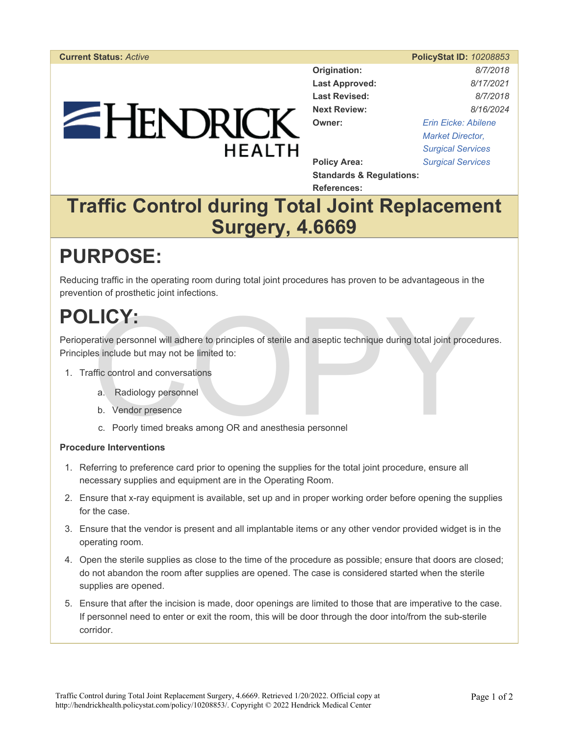# EHENDRICK **HEALTH**

| <b>PolicyStat ID: 10208853</b> |  |  |
|--------------------------------|--|--|

**Origination:** *8/7/2018*  **Last Approved:** *8/17/2021*  **Last Revised:** *8/7/2018*  **Next Review:** *8/16/2024*  **Owner:** *[Erin Eicke: Abilene](https://hendrickhealth.policystat.com/policy_search/author/?search_query=&terms=5565315)  [Market Director,](https://hendrickhealth.policystat.com/policy_search/author/?search_query=&terms=5565315)  [Surgical Services](https://hendrickhealth.policystat.com/policy_search/author/?search_query=&terms=5565315)*  **Policy Area:** *[Surgical Services](https://hendrickhealth.policystat.com/policy_search/category/?search_query=&terms=46044)* 

**Standards & Regulations: References:** 

### **Traffic Control during Total Joint Replacement Surgery, 4.6669**

## **PURPOSE:**

Reducing traffic in the operating room during total joint procedures has proven to be advantageous in the prevention of prosthetic joint infections.

# **POLICY:**

**EV:**<br>
Frative personnel will adhere to principles of sterile and aseptic technique during total joint proce<br>
sinclude but may not be limited to:<br>
ffic control and conversations<br>
a. Radiology personnel<br>
b. Vendor presence<br> Perioperative personnel will adhere to principles of sterile and aseptic technique during total joint procedures. Principles include but may not be limited to:

- 1. Traffic control and conversations
	- a. Radiology personnel
	- b. Vendor presence
	- c. Poorly timed breaks among OR and anesthesia personnel

#### **Procedure Interventions**

- 1. Referring to preference card prior to opening the supplies for the total joint procedure, ensure all necessary supplies and equipment are in the Operating Room.
- 2. Ensure that x-ray equipment is available, set up and in proper working order before opening the supplies for the case.
- 3. Ensure that the vendor is present and all implantable items or any other vendor provided widget is in the operating room.
- 4. Open the sterile supplies as close to the time of the procedure as possible; ensure that doors are closed; do not abandon the room after supplies are opened. The case is considered started when the sterile supplies are opened.
- 5. Ensure that after the incision is made, door openings are limited to those that are imperative to the case. If personnel need to enter or exit the room, this will be door through the door into/from the sub-sterile corridor.